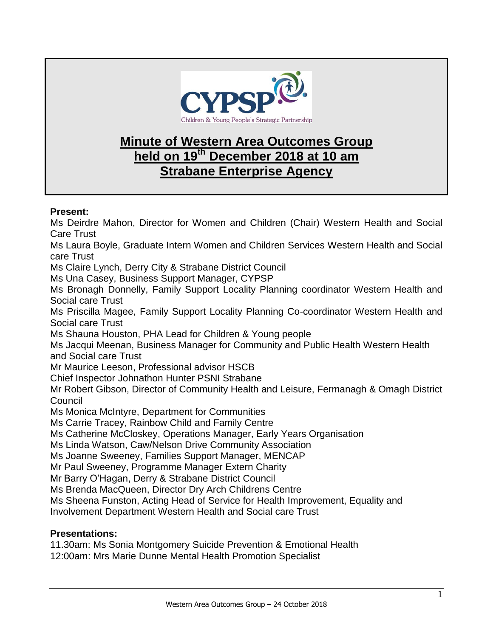

## **Minute of Western Area Outcomes Group held on 19th December 2018 at 10 am Strabane Enterprise Agency**

## **Present:**

Ms Deirdre Mahon, Director for Women and Children (Chair) Western Health and Social Care Trust Ms Laura Boyle, Graduate Intern Women and Children Services Western Health and Social care Trust Ms Claire Lynch, Derry City & Strabane District Council Ms Una Casey, Business Support Manager, CYPSP Ms Bronagh Donnelly, Family Support Locality Planning coordinator Western Health and Social care Trust Ms Priscilla Magee, Family Support Locality Planning Co-coordinator Western Health and Social care Trust Ms Shauna Houston, PHA Lead for Children & Young people Ms Jacqui Meenan, Business Manager for Community and Public Health Western Health and Social care Trust Mr Maurice Leeson, Professional advisor HSCB Chief Inspector Johnathon Hunter PSNI Strabane Mr Robert Gibson, Director of Community Health and Leisure, Fermanagh & Omagh District **Council** Ms Monica McIntyre, Department for Communities Ms Carrie Tracey, Rainbow Child and Family Centre Ms Catherine McCloskey, Operations Manager, Early Years Organisation Ms Linda Watson, Caw/Nelson Drive Community Association Ms Joanne Sweeney, Families Support Manager, MENCAP Mr Paul Sweeney, Programme Manager Extern Charity Mr Barry O'Hagan, Derry & Strabane District Council Ms Brenda MacQueen, Director Dry Arch Childrens Centre Ms Sheena Funston, Acting Head of Service for Health Improvement, Equality and

Involvement Department Western Health and Social care Trust

## **Presentations:**

11.30am: Ms Sonia Montgomery Suicide Prevention & Emotional Health 12:00am: Mrs Marie Dunne Mental Health Promotion Specialist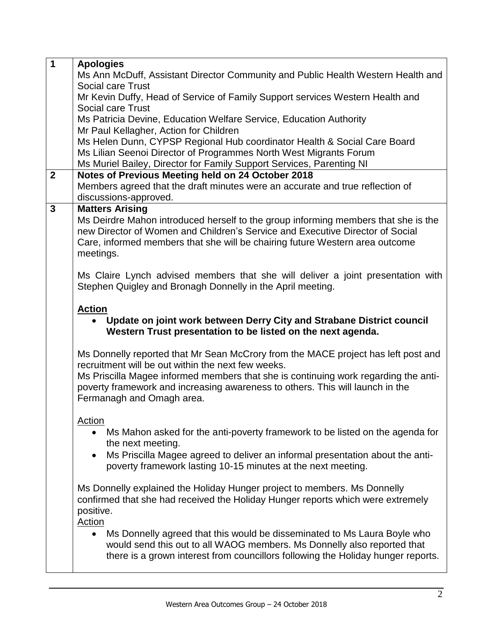| $\overline{1}$ | <b>Apologies</b>                                                                      |
|----------------|---------------------------------------------------------------------------------------|
|                | Ms Ann McDuff, Assistant Director Community and Public Health Western Health and      |
|                | Social care Trust                                                                     |
|                | Mr Kevin Duffy, Head of Service of Family Support services Western Health and         |
|                | Social care Trust                                                                     |
|                | Ms Patricia Devine, Education Welfare Service, Education Authority                    |
|                | Mr Paul Kellagher, Action for Children                                                |
|                | Ms Helen Dunn, CYPSP Regional Hub coordinator Health & Social Care Board              |
|                | Ms Lilian Seenoi Director of Programmes North West Migrants Forum                     |
|                | Ms Muriel Bailey, Director for Family Support Services, Parenting NI                  |
| $\overline{2}$ | Notes of Previous Meeting held on 24 October 2018                                     |
|                | Members agreed that the draft minutes were an accurate and true reflection of         |
|                | discussions-approved.                                                                 |
| 3              | <b>Matters Arising</b>                                                                |
|                | Ms Deirdre Mahon introduced herself to the group informing members that she is the    |
|                | new Director of Women and Children's Service and Executive Director of Social         |
|                | Care, informed members that she will be chairing future Western area outcome          |
|                | meetings.                                                                             |
|                |                                                                                       |
|                | Ms Claire Lynch advised members that she will deliver a joint presentation with       |
|                | Stephen Quigley and Bronagh Donnelly in the April meeting.                            |
|                |                                                                                       |
|                | <b>Action</b>                                                                         |
|                | Update on joint work between Derry City and Strabane District council                 |
|                | Western Trust presentation to be listed on the next agenda.                           |
|                |                                                                                       |
|                | Ms Donnelly reported that Mr Sean McCrory from the MACE project has left post and     |
|                | recruitment will be out within the next few weeks.                                    |
|                | Ms Priscilla Magee informed members that she is continuing work regarding the anti-   |
|                | poverty framework and increasing awareness to others. This will launch in the         |
|                |                                                                                       |
|                | Fermanagh and Omagh area.                                                             |
|                | <b>Action</b>                                                                         |
|                |                                                                                       |
|                | Ms Mahon asked for the anti-poverty framework to be listed on the agenda for          |
|                | the next meeting.                                                                     |
|                | Ms Priscilla Magee agreed to deliver an informal presentation about the anti-         |
|                | poverty framework lasting 10-15 minutes at the next meeting.                          |
|                |                                                                                       |
|                | Ms Donnelly explained the Holiday Hunger project to members. Ms Donnelly              |
|                | confirmed that she had received the Holiday Hunger reports which were extremely       |
|                | positive.                                                                             |
|                | <b>Action</b>                                                                         |
|                | Ms Donnelly agreed that this would be disseminated to Ms Laura Boyle who<br>$\bullet$ |
|                | would send this out to all WAOG members. Ms Donnelly also reported that               |
|                | there is a grown interest from councillors following the Holiday hunger reports.      |
|                |                                                                                       |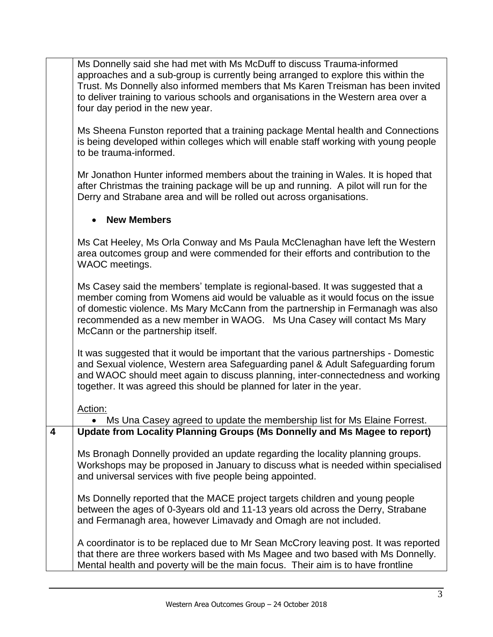Ms Donnelly said she had met with Ms McDuff to discuss Trauma-informed approaches and a sub-group is currently being arranged to explore this within the Trust. Ms Donnelly also informed members that Ms Karen Treisman has been invited to deliver training to various schools and organisations in the Western area over a four day period in the new year.

Ms Sheena Funston reported that a training package Mental health and Connections is being developed within colleges which will enable staff working with young people to be trauma-informed.

Mr Jonathon Hunter informed members about the training in Wales. It is hoped that after Christmas the training package will be up and running. A pilot will run for the Derry and Strabane area and will be rolled out across organisations.

## **New Members**

Ms Cat Heeley, Ms Orla Conway and Ms Paula McClenaghan have left the Western area outcomes group and were commended for their efforts and contribution to the WAOC meetings.

Ms Casey said the members' template is regional-based. It was suggested that a member coming from Womens aid would be valuable as it would focus on the issue of domestic violence. Ms Mary McCann from the partnership in Fermanagh was also recommended as a new member in WAOG. Ms Una Casey will contact Ms Mary McCann or the partnership itself.

It was suggested that it would be important that the various partnerships - Domestic and Sexual violence, Western area Safeguarding panel & Adult Safeguarding forum and WAOC should meet again to discuss planning, inter-connectedness and working together. It was agreed this should be planned for later in the year.

Action:

 Ms Una Casey agreed to update the membership list for Ms Elaine Forrest. **4 Update from Locality Planning Groups (Ms Donnelly and Ms Magee to report)**

Ms Bronagh Donnelly provided an update regarding the locality planning groups. Workshops may be proposed in January to discuss what is needed within specialised and universal services with five people being appointed.

Ms Donnelly reported that the MACE project targets children and young people between the ages of 0-3years old and 11-13 years old across the Derry, Strabane and Fermanagh area, however Limavady and Omagh are not included.

A coordinator is to be replaced due to Mr Sean McCrory leaving post. It was reported that there are three workers based with Ms Magee and two based with Ms Donnelly. Mental health and poverty will be the main focus. Their aim is to have frontline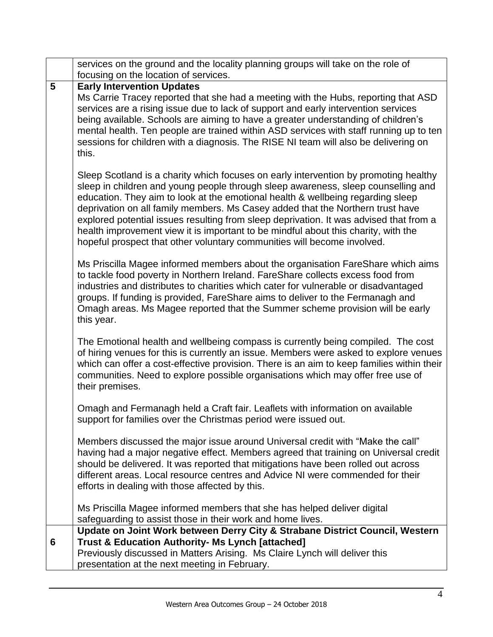|   | services on the ground and the locality planning groups will take on the role of<br>focusing on the location of services.                                                                                                                                                                                                                                                                                                                                                                                                                                                                                 |
|---|-----------------------------------------------------------------------------------------------------------------------------------------------------------------------------------------------------------------------------------------------------------------------------------------------------------------------------------------------------------------------------------------------------------------------------------------------------------------------------------------------------------------------------------------------------------------------------------------------------------|
| 5 | <b>Early Intervention Updates</b>                                                                                                                                                                                                                                                                                                                                                                                                                                                                                                                                                                         |
|   | Ms Carrie Tracey reported that she had a meeting with the Hubs, reporting that ASD<br>services are a rising issue due to lack of support and early intervention services<br>being available. Schools are aiming to have a greater understanding of children's<br>mental health. Ten people are trained within ASD services with staff running up to ten<br>sessions for children with a diagnosis. The RISE NI team will also be delivering on<br>this.                                                                                                                                                   |
|   | Sleep Scotland is a charity which focuses on early intervention by promoting healthy<br>sleep in children and young people through sleep awareness, sleep counselling and<br>education. They aim to look at the emotional health & wellbeing regarding sleep<br>deprivation on all family members. Ms Casey added that the Northern trust have<br>explored potential issues resulting from sleep deprivation. It was advised that from a<br>health improvement view it is important to be mindful about this charity, with the<br>hopeful prospect that other voluntary communities will become involved. |
|   | Ms Priscilla Magee informed members about the organisation FareShare which aims<br>to tackle food poverty in Northern Ireland. FareShare collects excess food from<br>industries and distributes to charities which cater for vulnerable or disadvantaged<br>groups. If funding is provided, FareShare aims to deliver to the Fermanagh and<br>Omagh areas. Ms Magee reported that the Summer scheme provision will be early<br>this year.                                                                                                                                                                |
|   | The Emotional health and wellbeing compass is currently being compiled. The cost<br>of hiring venues for this is currently an issue. Members were asked to explore venues<br>which can offer a cost-effective provision. There is an aim to keep families within their<br>communities. Need to explore possible organisations which may offer free use of<br>their premises.                                                                                                                                                                                                                              |
|   | Omagh and Fermanagh held a Craft fair. Leaflets with information on available<br>support for families over the Christmas period were issued out.                                                                                                                                                                                                                                                                                                                                                                                                                                                          |
|   | Members discussed the major issue around Universal credit with "Make the call"<br>having had a major negative effect. Members agreed that training on Universal credit<br>should be delivered. It was reported that mitigations have been rolled out across<br>different areas. Local resource centres and Advice NI were commended for their<br>efforts in dealing with those affected by this.                                                                                                                                                                                                          |
|   | Ms Priscilla Magee informed members that she has helped deliver digital<br>safeguarding to assist those in their work and home lives.                                                                                                                                                                                                                                                                                                                                                                                                                                                                     |
|   | Update on Joint Work between Derry City & Strabane District Council, Western                                                                                                                                                                                                                                                                                                                                                                                                                                                                                                                              |
| 6 | <b>Trust &amp; Education Authority- Ms Lynch [attached]</b>                                                                                                                                                                                                                                                                                                                                                                                                                                                                                                                                               |
|   | Previously discussed in Matters Arising. Ms Claire Lynch will deliver this<br>presentation at the next meeting in February.                                                                                                                                                                                                                                                                                                                                                                                                                                                                               |
|   |                                                                                                                                                                                                                                                                                                                                                                                                                                                                                                                                                                                                           |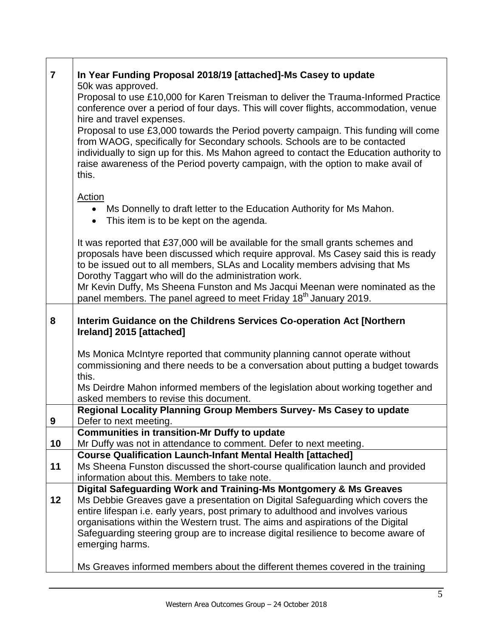| $\overline{7}$ | In Year Funding Proposal 2018/19 [attached]-Ms Casey to update                                                                                                                                                                                                                                                                                           |
|----------------|----------------------------------------------------------------------------------------------------------------------------------------------------------------------------------------------------------------------------------------------------------------------------------------------------------------------------------------------------------|
|                | 50k was approved.<br>Proposal to use £10,000 for Karen Treisman to deliver the Trauma-Informed Practice<br>conference over a period of four days. This will cover flights, accommodation, venue<br>hire and travel expenses.                                                                                                                             |
|                | Proposal to use £3,000 towards the Period poverty campaign. This funding will come<br>from WAOG, specifically for Secondary schools. Schools are to be contacted<br>individually to sign up for this. Ms Mahon agreed to contact the Education authority to<br>raise awareness of the Period poverty campaign, with the option to make avail of<br>this. |
|                |                                                                                                                                                                                                                                                                                                                                                          |
|                | <b>Action</b><br>Ms Donnelly to draft letter to the Education Authority for Ms Mahon.<br>This item is to be kept on the agenda.<br>$\bullet$                                                                                                                                                                                                             |
|                | It was reported that £37,000 will be available for the small grants schemes and<br>proposals have been discussed which require approval. Ms Casey said this is ready<br>to be issued out to all members, SLAs and Locality members advising that Ms<br>Dorothy Taggart who will do the administration work.                                              |
|                | Mr Kevin Duffy, Ms Sheena Funston and Ms Jacqui Meenan were nominated as the<br>panel members. The panel agreed to meet Friday 18 <sup>th</sup> January 2019.                                                                                                                                                                                            |
| 8              |                                                                                                                                                                                                                                                                                                                                                          |
|                | Interim Guidance on the Childrens Services Co-operation Act [Northern<br>Ireland] 2015 [attached]                                                                                                                                                                                                                                                        |
|                | Ms Monica McIntyre reported that community planning cannot operate without                                                                                                                                                                                                                                                                               |
|                | commissioning and there needs to be a conversation about putting a budget towards<br>this.                                                                                                                                                                                                                                                               |
|                | Ms Deirdre Mahon informed members of the legislation about working together and<br>asked members to revise this document.                                                                                                                                                                                                                                |
| 9              | Regional Locality Planning Group Members Survey- Ms Casey to update<br>Defer to next meeting.                                                                                                                                                                                                                                                            |
|                | <b>Communities in transition-Mr Duffy to update</b>                                                                                                                                                                                                                                                                                                      |
| 10             | Mr Duffy was not in attendance to comment. Defer to next meeting.                                                                                                                                                                                                                                                                                        |
| 11             | <b>Course Qualification Launch-Infant Mental Health [attached]</b><br>Ms Sheena Funston discussed the short-course qualification launch and provided<br>information about this. Members to take note.                                                                                                                                                    |
|                | Digital Safeguarding Work and Training-Ms Montgomery & Ms Greaves                                                                                                                                                                                                                                                                                        |
| 12             | Ms Debbie Greaves gave a presentation on Digital Safeguarding which covers the                                                                                                                                                                                                                                                                           |
|                | entire lifespan i.e. early years, post primary to adulthood and involves various                                                                                                                                                                                                                                                                         |
|                | organisations within the Western trust. The aims and aspirations of the Digital<br>Safeguarding steering group are to increase digital resilience to become aware of                                                                                                                                                                                     |
|                | emerging harms.                                                                                                                                                                                                                                                                                                                                          |
|                | Ms Greaves informed members about the different themes covered in the training                                                                                                                                                                                                                                                                           |

 $\Gamma$ 

┱

٦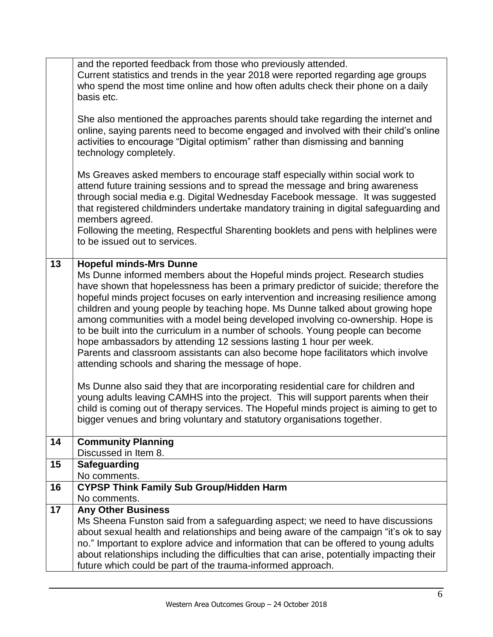|    | and the reported feedback from those who previously attended.<br>Current statistics and trends in the year 2018 were reported regarding age groups<br>who spend the most time online and how often adults check their phone on a daily<br>basis etc.<br>She also mentioned the approaches parents should take regarding the internet and<br>online, saying parents need to become engaged and involved with their child's online<br>activities to encourage "Digital optimism" rather than dismissing and banning<br>technology completely.<br>Ms Greaves asked members to encourage staff especially within social work to<br>attend future training sessions and to spread the message and bring awareness<br>through social media e.g. Digital Wednesday Facebook message. It was suggested<br>that registered childminders undertake mandatory training in digital safeguarding and<br>members agreed.<br>Following the meeting, Respectful Sharenting booklets and pens with helplines were<br>to be issued out to services.     |
|----|---------------------------------------------------------------------------------------------------------------------------------------------------------------------------------------------------------------------------------------------------------------------------------------------------------------------------------------------------------------------------------------------------------------------------------------------------------------------------------------------------------------------------------------------------------------------------------------------------------------------------------------------------------------------------------------------------------------------------------------------------------------------------------------------------------------------------------------------------------------------------------------------------------------------------------------------------------------------------------------------------------------------------------------|
| 13 |                                                                                                                                                                                                                                                                                                                                                                                                                                                                                                                                                                                                                                                                                                                                                                                                                                                                                                                                                                                                                                       |
|    | <b>Hopeful minds-Mrs Dunne</b><br>Ms Dunne informed members about the Hopeful minds project. Research studies<br>have shown that hopelessness has been a primary predictor of suicide; therefore the<br>hopeful minds project focuses on early intervention and increasing resilience among<br>children and young people by teaching hope. Ms Dunne talked about growing hope<br>among communities with a model being developed involving co-ownership. Hope is<br>to be built into the curriculum in a number of schools. Young people can become<br>hope ambassadors by attending 12 sessions lasting 1 hour per week.<br>Parents and classroom assistants can also become hope facilitators which involve<br>attending schools and sharing the message of hope.<br>Ms Dunne also said they that are incorporating residential care for children and<br>young adults leaving CAMHS into the project. This will support parents when their<br>child is coming out of therapy services. The Hopeful minds project is aiming to get to |
| 14 | bigger venues and bring voluntary and statutory organisations together.<br><b>Community Planning</b>                                                                                                                                                                                                                                                                                                                                                                                                                                                                                                                                                                                                                                                                                                                                                                                                                                                                                                                                  |
|    | Discussed in Item 8.                                                                                                                                                                                                                                                                                                                                                                                                                                                                                                                                                                                                                                                                                                                                                                                                                                                                                                                                                                                                                  |
| 15 | <b>Safeguarding</b>                                                                                                                                                                                                                                                                                                                                                                                                                                                                                                                                                                                                                                                                                                                                                                                                                                                                                                                                                                                                                   |
| 16 | No comments.<br><b>CYPSP Think Family Sub Group/Hidden Harm</b>                                                                                                                                                                                                                                                                                                                                                                                                                                                                                                                                                                                                                                                                                                                                                                                                                                                                                                                                                                       |
|    | No comments.                                                                                                                                                                                                                                                                                                                                                                                                                                                                                                                                                                                                                                                                                                                                                                                                                                                                                                                                                                                                                          |
| 17 | <b>Any Other Business</b><br>Ms Sheena Funston said from a safeguarding aspect; we need to have discussions<br>about sexual health and relationships and being aware of the campaign "it's ok to say<br>no." Important to explore advice and information that can be offered to young adults<br>about relationships including the difficulties that can arise, potentially impacting their<br>future which could be part of the trauma-informed approach.                                                                                                                                                                                                                                                                                                                                                                                                                                                                                                                                                                             |